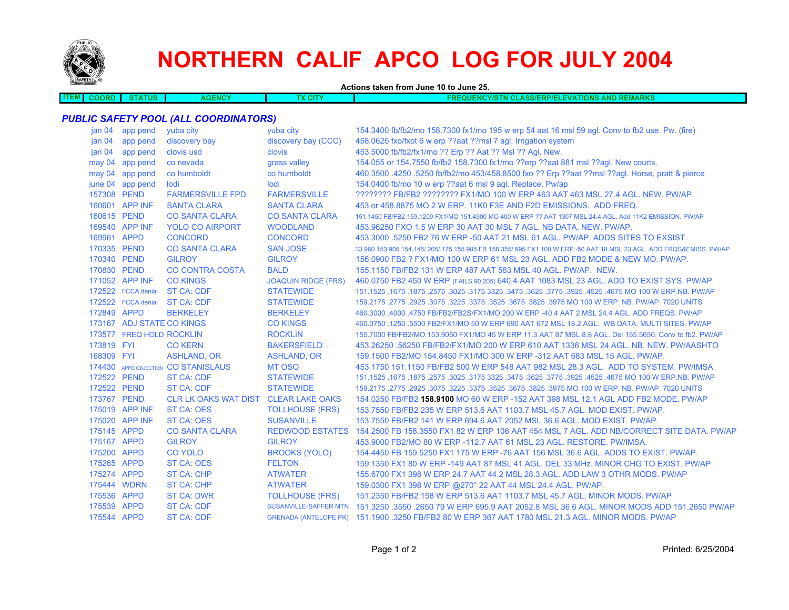

# **NORTHERN CALIF APCO LOG FOR JULY 2004**

**Actions taken from June 10 to June 25.**

**ITEM COORD STATUS AGENCY TX CITY FREQUENCY/STN CLASS/ERP/ELEVATIONS AND REMARKS** *PUBLIC SAFETY POOL (ALL COORDINATORS)* jan 04 app pend yuba city yuba city 154.3400 fb/fb2/mo 158.7300 fx1/mo 195 w erp 54 aat 16 msl 59 agl. Conv to fb2 use. Pw. (fire) jan 04 app pend discovery bay discovery bay (CCC) 458.0625 fxo/fxot 6 w erp ??aat ??msl 7 agl. Irrigation system jan 04 app pend clovis usd clovis 453.5000 fb/fb2/fx1/mo ?? Erp ?? Aat ?? Msl ?? Agl. New. may 04 app pend co nevada grass valley 154.055 or 154.7550 fb/fb2 158.7300 fx1/mo ??erp ??aat 881 msl ??aql. New courts. may 04 app pend co humboldt co humboldt 460.3500 .4250 .5250 fb/fb2/mo 453/458.8500 fxo ?? Erp ??aat ??msl ??agl. Horse, pratt & pierce june 04 app pend lodi lodi 154.0400 fb/mo 10 w erp ??aat 6 msl 9 agl. Replace. Pw/ap 157308 PEND FARMERSVILLE FPD FARMERSVILLE ???????? FB/FB2 ???????? FX1/MO 100 W ERP 463 AAT 463 MSL 27.4 AGL. NEW. PW/AP.160601 APP INF SANTA CLARA SANTA CLARA 453 or 458.8875 MO 2 W ERP. 11K0 F3E AND F2D EMISSIONS. ADD FREQ. 160615 PEND CO SANTA CLARA CO SANTA CLARA 151.1450 FB/FB2 159.1200 FX1/MO 151.4900 MO 400 W ERP ?? AAT 1307 MSL 24.4 AGL. Add 11K2 EMISSION. PW/AP 169540 APP INF YOLO CO AIRPORT WOODLAND 453.96250 FXO 1.5 W ERP 30 AAT 30 MSL 7 AGL. NB DATA. NEW. PW/AP. 169961 APPD CONCORD CONCORD 453.3000 .5250 FB2 76 W ERP -50 AAT 21 MSL 61 AGL. PW/AP. ADDS SITES TO EXSIST.170335 PEND CO SANTA CLARA SAN JOSE 33.960 153.905 154.145/.205/.175 155.985 FB 158.355/.995 FX1 100 W ERP -50 AAT 18 MSL 23 AGL. ADD FRQS&EMISS. PW/AP 170340 PEND GILROY GILROY 156.0900 FB2 ? FX1/MO 100 W ERP 61 MSL 23 AGL. ADD FB2 MODE & NEW MO. PW/AP.170830 PEND CO CONTRA COSTA BALD 155.1150 FB/FB2 131 W ERP 487 AAT 583 MSL 40 AGL. PW/AP. NEW.

| 170340 PEND     |                           | <b>GILROY</b>                        | <b>GILROY</b>              | 156,0900 FB2 ? FX1/MO 100 W ERP 61 MSL 23 AGL, ADD FB2 MODE & NEW MO, PW/AP,                             |
|-----------------|---------------------------|--------------------------------------|----------------------------|----------------------------------------------------------------------------------------------------------|
| 170830 PEND     |                           | <b>CO CONTRA COSTA</b>               | <b>BALD</b>                | 155.1150 FB/FB2 131 W ERP 487 AAT 583 MSL 40 AGL, PW/AP, NEW.                                            |
|                 | 171052 APP INF            | <b>CO KINGS</b>                      | <b>JOAQUIN RIDGE (FRS)</b> | 460.0750 FB2 450 W ERP (FAILS 90.205) 640.4 AAT 1083 MSL 23 AGL. ADD TO EXIST SYS. PW/AP                 |
|                 | 172522 FCCA denial        | <b>ST CA: CDF</b>                    | <b>STATEWIDE</b>           | 151.1525 .1675 .1875 .2575 .3025 .3175 3325 .3475 .3625 .3775 .3925 .4525 .4675 MO 100 W ERP NB. PW/AP   |
|                 | 172522 FCCA denial        | <b>ST CA: CDF</b>                    | <b>STATEWIDE</b>           | 159,2175,2775,2925,3075,3225,3375,3525,3675,3825,3975 MO 100 W ERP, NB, PW/AP, 7020 UNITS                |
| 172849 APPD     |                           | <b>BERKELEY</b>                      | <b>BERKELEY</b>            | 460,3000,4000,4750 FB/FB2/FB2S/FX1/MO 200 W ERP -40.4 AAT 2 MSL 24.4 AGL, ADD FREQS, PW/AP               |
|                 | 173167 ADJ STATE CO KINGS |                                      | <b>CO KINGS</b>            | 460.0750 .1250 .5500 FB2/FX1/MO 50 W ERP 690 AAT 672 MSL 18.2 AGL. WB DATA, MULTI SITES, PW/AP           |
|                 | 173577 FREQ HOLD ROCKLIN  |                                      | <b>ROCKLIN</b>             | 155,7000 FB/FB2/MO 153,9050 FX1/MO 45 W ERP 11.3 AAT 87 MSL 8.8 AGL. Del 155,5650. Conv to fb2. PW/AP    |
| 173819 FYL      |                           | <b>CO KERN</b>                       | <b>BAKERSFIELD</b>         | 453.26250 .56250 FB/FB2/FX1/MO 200 W ERP 610 AAT 1336 MSL 24 AGL, NB, NEW, PW/AASHTO                     |
| 168309 FYI      |                           | ASHLAND, OR                          | <b>ASHLAND, OR</b>         | 159,1500 FB2/MO 154,8450 FX1/MO 300 W ERP -312 AAT 683 MSL 15 AGL, PW/AP.                                |
|                 |                           | 174430 APPD OBJECTION CO STANISLAUS  | MT OSO                     | 453.1750 151.1150 FB/FB2 500 W ERP 548 AAT 982 MSL 28.3 AGL. ADD TO SYSTEM, PW/IMSA                      |
| 172522 PEND     |                           | ST CA: CDF                           | <b>STATEWIDE</b>           | 151.1525 .1675 .1875 .2575 .3025 .3175 3325 .3475 .3625 .3775 .3925 .4525 .4675 MO 100 W ERP.NB. PW/AP   |
| 172522 PEND     |                           | ST CA: CDF                           | <b>STATEWIDE</b>           | 159,2175,2775,2925,3075,3225,3375,3525,3675,3825,3975 MO 100 W ERP, NB, PW/AP, 7020 UNITS                |
| 173767 PEND     |                           | CLR LK OAKS WAT DIST CLEAR LAKE OAKS |                            | 154,0250 FB/FB2 158,9100 MO 60 W ERP -152 AAT 398 MSL 12.1 AGL ADD FB2 MODE, PW/AP                       |
|                 | 175019 APP INF            | <b>ST CA: OES</b>                    | <b>TOLLHOUSE (FRS)</b>     | 153.7550 FB/FB2 235 W ERP 513.6 AAT 1103.7 MSL 45.7 AGL, MOD EXIST, PW/AP.                               |
|                 | 175020 APP INF            | <b>ST CA: OES</b>                    | <b>SUSANVILLE</b>          | 153.7550 FB/FB2 141 W ERP 694.6 AAT 2052 MSL 36.6 AGL, MOD EXIST, PW/AP.                                 |
| 175145 APPD     |                           | <b>CO SANTA CLARA</b>                |                            | REDWOOD ESTATES 154.2500 FB 158.3550 FX1 82 W ERP 106 AAT 454 MSL 7 AGL. ADD NB/CORRECT SITE DATA. PW/AP |
| 175167 APPD     |                           | <b>GILROY</b>                        | <b>GILROY</b>              | 453,9000 FB2/MO 80 W ERP -112.7 AAT 61 MSL 23 AGL, RESTORE, PW/IMSA.                                     |
| 175200 APPD     |                           | <b>CO YOLO</b>                       | <b>BROOKS (YOLO)</b>       | 154,4450 FB 159,5250 FX1 175 W ERP -76 AAT 156 MSL 36.6 AGL, ADDS TO EXIST, PW/AP,                       |
| 175265 APPD     |                           | ST CA: OES                           | <b>FELTON</b>              | 159.1350 FX1 80 W ERP -149 AAT 87 MSL 41 AGL, DEL 33 MHz, MINOR CHG TO EXIST, PW/AP                      |
| 175274 APPD     |                           | ST CA: CHP                           | <b>ATWATER</b>             | 155,6700 FX1 398 W ERP 24.7 AAT 44.2 MSL 28.3 AGL. ADD LAW 3 OTHR MODS, PW/AP                            |
|                 | 175444 WDRN               | ST CA: CHP                           | <b>ATWATER</b>             | 159.0300 FX1 398 W ERP @270° 22 AAT 44 MSL 24.4 AGL. PW/AP.                                              |
| $175526$ $ADDD$ |                           | $CT$ $CM$ $\cdot$ $NMD$              | TOLL HOLICE (EDC)          | 151 2250 CD/CD2 150 W CDD 512 G AAT 1102 7 MBL 45 7 AOL. MINOD MODE DWAAD                                |

175536 APPD ST CA: DWR TOLLHOUSE (FRS) 151.2350 FB/FB2 158 W ERP 513.6 AAT 1103.7 MSL 45.7 AGL. MINOR MODS. PW/AP 175539 APPD ST CA: CDF SUSANVILLE-SAFFER MTN 151.3250 .3550 .2650 79 W ERP 695.9 AAT 2052.8 MSL 36.6 AGL. MINOR MODS ADD 151.2650 PW/AP175544 APPD ST CA: CDFGRENADA (ANTELOPE PK) 151.1900 .3250 FB/FB2 80 W ERP 367 AAT 1780 MSL 21.3 AGL. MINOR MODS. PW/AP